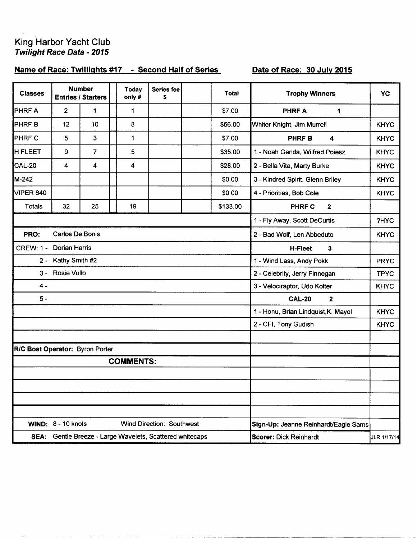## King Harbor Yacht Club<br>Twilight Race Data - 2015

## Name of Race: Twillights #17 - Second Half of Series

## Date of Race: 30 July 2015

|                                          |                |                                                                                                                         | Today<br>only#                  | <b>Series fee</b><br>\$ |                  | Total                                                                                        | <b>Trophy Winners</b>                   | <b>YC</b>                                                             |  |
|------------------------------------------|----------------|-------------------------------------------------------------------------------------------------------------------------|---------------------------------|-------------------------|------------------|----------------------------------------------------------------------------------------------|-----------------------------------------|-----------------------------------------------------------------------|--|
| $\overline{2}$                           | $\mathbf{1}$   |                                                                                                                         | 1                               |                         |                  | \$7.00                                                                                       | <b>PHRFA</b><br>1                       |                                                                       |  |
| 12                                       | 10             |                                                                                                                         | 8                               |                         |                  | \$56.00                                                                                      | Whiter Knight, Jim Murrell              | <b>KHYC</b>                                                           |  |
| 5                                        | $\mathbf{3}$   |                                                                                                                         | 1                               |                         |                  | \$7.00                                                                                       | PHRF B<br>4                             | <b>KHYC</b>                                                           |  |
| 9                                        | $\overline{7}$ |                                                                                                                         | 5                               |                         |                  | \$35.00                                                                                      | 1 - Noah Genda, Wilfred Poiesz          | <b>KHYC</b>                                                           |  |
| 4                                        | 4              |                                                                                                                         | 4                               |                         |                  | \$28.00                                                                                      | 2 - Bella Vita, Marty Burke             | <b>KHYC</b>                                                           |  |
|                                          |                |                                                                                                                         |                                 |                         |                  | \$0.00                                                                                       | 3 - Kindred Spirit, Glenn Briley        | <b>KHYC</b>                                                           |  |
|                                          |                |                                                                                                                         |                                 |                         |                  | \$0.00                                                                                       | 4 - Priorities, Bob Cole                | <b>KHYC</b>                                                           |  |
| 32                                       | 25             |                                                                                                                         | 19                              |                         |                  | \$133.00                                                                                     | <b>PHRF C</b><br>$\mathbf{2}$           |                                                                       |  |
|                                          |                |                                                                                                                         |                                 |                         |                  |                                                                                              | 1 - Fly Away, Scott DeCurtis            | ?HYC                                                                  |  |
|                                          |                |                                                                                                                         |                                 |                         |                  |                                                                                              | 2 - Bad Wolf, Len Abbeduto              | <b>KHYC</b>                                                           |  |
| <b>Dorian Harris</b><br><b>CREW: 1 -</b> |                |                                                                                                                         |                                 |                         |                  |                                                                                              | <b>H-Fleet</b><br>3                     |                                                                       |  |
| Kathy Smith #2<br>$2 -$                  |                |                                                                                                                         |                                 |                         |                  |                                                                                              | 1 - Wind Lass, Andy Pokk<br><b>PRYC</b> |                                                                       |  |
|                                          |                |                                                                                                                         |                                 |                         |                  |                                                                                              | 2 - Celebrity, Jerry Finnegan           | <b>TPYC</b>                                                           |  |
|                                          |                |                                                                                                                         |                                 |                         |                  |                                                                                              | 3 - Velociraptor, Udo Kolter            | <b>KHYC</b>                                                           |  |
|                                          |                |                                                                                                                         |                                 |                         |                  |                                                                                              | <b>CAL-20</b><br>$\mathbf 2$            |                                                                       |  |
|                                          |                |                                                                                                                         |                                 |                         |                  |                                                                                              | 1 - Honu, Brian Lindquist, K. Mayol     | <b>KHYC</b>                                                           |  |
|                                          |                |                                                                                                                         |                                 |                         |                  |                                                                                              | 2 - CFI, Tony Gudish                    | <b>KHYC</b>                                                           |  |
|                                          |                |                                                                                                                         |                                 |                         |                  |                                                                                              |                                         |                                                                       |  |
|                                          |                |                                                                                                                         |                                 |                         |                  |                                                                                              |                                         |                                                                       |  |
|                                          |                |                                                                                                                         |                                 |                         |                  |                                                                                              |                                         |                                                                       |  |
|                                          |                |                                                                                                                         |                                 |                         |                  |                                                                                              |                                         |                                                                       |  |
|                                          |                |                                                                                                                         |                                 |                         |                  |                                                                                              |                                         |                                                                       |  |
|                                          |                |                                                                                                                         |                                 |                         |                  |                                                                                              |                                         |                                                                       |  |
|                                          |                |                                                                                                                         |                                 |                         |                  |                                                                                              |                                         |                                                                       |  |
|                                          |                |                                                                                                                         |                                 |                         |                  |                                                                                              |                                         | JLR 1/17/14                                                           |  |
|                                          |                | <b>Number</b><br><b>Entries / Starters</b><br><b>Carlos De Bonis</b><br><b>Rosie Vullo</b><br><b>WIND: 8 - 10 knots</b> | R/C Boat Operator: Byron Porter |                         | <b>COMMENTS:</b> | <b>Wind Direction: Southwest</b><br>SEA: Gentle Breeze - Large Wavelets, Scattered whitecaps |                                         | Sign-Up: Jeanne Reinhardt/Eagle Sams<br><b>Scorer: Dick Reinhardt</b> |  |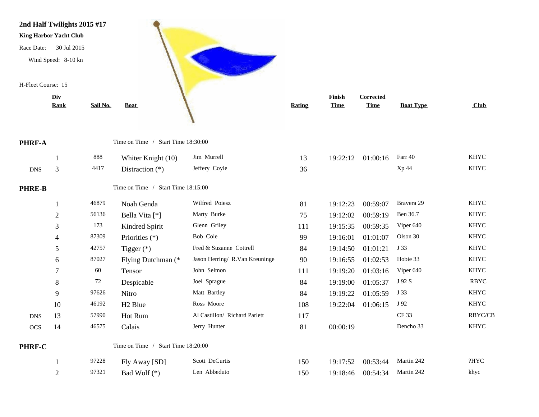

|             | <b>Rank</b>    | Sail No. | <b>Boat</b>                        |                                | Rating | <b>Time</b> | <b>Time</b> | <b>Boat Type</b> | Club           |
|-------------|----------------|----------|------------------------------------|--------------------------------|--------|-------------|-------------|------------------|----------------|
| $RF-A$      |                |          | Time on Time / Start Time 18:30:00 |                                |        |             |             |                  |                |
|             |                | 888      | Whiter Knight (10)                 | Jim Murrell                    | 13     | 19:22:12    | 01:00:16    | Farr 40          | <b>KHYC</b>    |
| DNS         | 3              | 4417     | Distraction $(*)$                  | Jeffery Coyle                  | 36     |             |             | Xp 44            | <b>KHYC</b>    |
| <b>RE-B</b> |                |          | Time on Time / Start Time 18:15:00 |                                |        |             |             |                  |                |
|             |                | 46879    | Noah Genda                         | Wilfred Poiesz                 | 81     | 19:12:23    | 00:59:07    | Bravera 29       | <b>KHYC</b>    |
|             | $\overline{2}$ | 56136    | Bella Vita [*]                     | Marty Burke                    | 75     | 19:12:02    | 00:59:19    | Ben 36.7         | <b>KHYC</b>    |
|             | 3              | 173      | Kindred Spirit                     | Glenn Griley                   | 111    | 19:15:35    | 00:59:35    | Viper 640        | <b>KHYC</b>    |
|             | 4              | 87309    | Priorities (*)                     | Bob Cole                       | 99     | 19:16:01    | 01:01:07    | Olson 30         | <b>KHYC</b>    |
|             | 5              | 42757    | Tigger $(*)$                       | Fred & Suzanne Cottrell        | 84     | 19:14:50    | 01:01:21    | J 33             | <b>KHYC</b>    |
|             | 6              | 87027    | Flying Dutchman (*                 | Jason Herring/ R.Van Kreuninge | 90     | 19:16:55    | 01:02:53    | Hobie 33         | <b>KHYC</b>    |
|             | 7              | 60       | Tensor                             | John Selmon                    | 111    | 19:19:20    | 01:03:16    | Viper 640        | <b>KHYC</b>    |
|             | 8              | 72       | Despicable                         | Joel Sprague                   | 84     | 19:19:00    | 01:05:37    | J 92 S           | <b>RBYC</b>    |
|             | 9              | 97626    | Nitro                              | Matt Bartley                   | 84     | 19:19:22    | 01:05:59    | J 33             | <b>KHYC</b>    |
|             | 10             | 46192    | H <sub>2</sub> Blue                | Ross Moore                     | 108    | 19:22:04    | 01:06:15    | J 92             | <b>KHYC</b>    |
| <b>DNS</b>  | 13             | 57990    | Hot Rum                            | Al Castillon/ Richard Parlett  | 117    |             |             | CF 33            | <b>RBYC/CB</b> |
| OCS         | 14             | 46575    | Calais                             | Jerry Hunter                   | 81     | 00:00:19    |             | Dencho 33        | <b>KHYC</b>    |
| $RF-C$      |                |          | Time on Time / Start Time 18:20:00 |                                |        |             |             |                  |                |
|             |                | 97228    | Fly Away [SD]                      | Scott DeCurtis                 | 150    | 19:17:52    | 00:53:44    | Martin 242       | ?HYC           |
|             | $\overline{2}$ | 97321    | Bad Wolf (*)                       | Len Abbeduto                   | 150    | 19:18:46    | 00:54:34    | Martin 242       | khyc           |

**PHRE-B** 

PHRF-C

PHRF-A